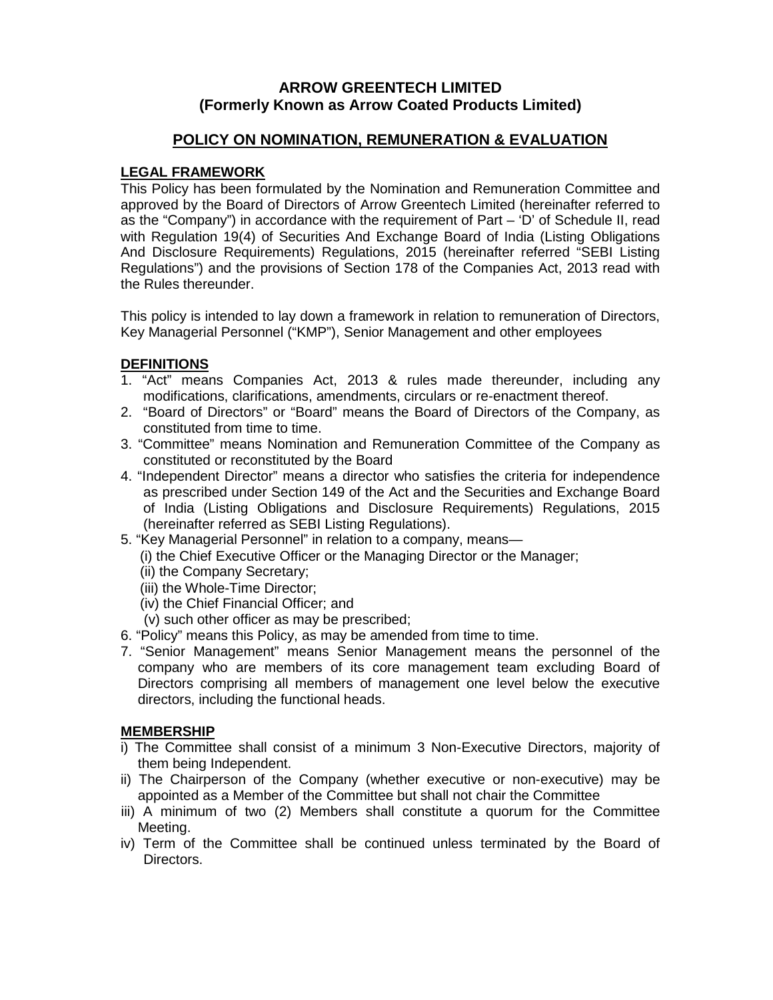# **ARROW GREENTECH LIMITED (Formerly Known as Arrow Coated Products Limited)**

# **POLICY ON NOMINATION, REMUNERATION & EVALUATION**

# **LEGAL FRAMEWORK**

This Policy has been formulated by the Nomination and Remuneration Committee and approved by the Board of Directors of Arrow Greentech Limited (hereinafter referred to as the "Company") in accordance with the requirement of Part – 'D' of Schedule II, read with Regulation 19(4) of Securities And Exchange Board of India (Listing Obligations And Disclosure Requirements) Regulations, 2015 (hereinafter referred "SEBI Listing Regulations") and the provisions of Section 178 of the Companies Act, 2013 read with the Rules thereunder.

This policy is intended to lay down a framework in relation to remuneration of Directors, Key Managerial Personnel ("KMP"), Senior Management and other employees

# **DEFINITIONS**

- 1. "Act" means Companies Act, 2013 & rules made thereunder, including any modifications, clarifications, amendments, circulars or re-enactment thereof.
- 2. "Board of Directors" or "Board" means the Board of Directors of the Company, as constituted from time to time.
- 3. "Committee" means Nomination and Remuneration Committee of the Company as constituted or reconstituted by the Board
- 4. "Independent Director" means a director who satisfies the criteria for independence as prescribed under Section 149 of the Act and the Securities and Exchange Board of India (Listing Obligations and Disclosure Requirements) Regulations, 2015 (hereinafter referred as SEBI Listing Regulations).
- 5. "Key Managerial Personnel" in relation to a company, means—
	- (i) the Chief Executive Officer or the Managing Director or the Manager;
		- (ii) the Company Secretary;
		- (iii) the Whole-Time Director;
		- (iv) the Chief Financial Officer; and
		- (v) such other officer as may be prescribed;
- 6. "Policy" means this Policy, as may be amended from time to time.
- 7. "Senior Management" means Senior Management means the personnel of the company who are members of its core management team excluding Board of Directors comprising all members of management one level below the executive directors, including the functional heads.

## **MEMBERSHIP**

- i) The Committee shall consist of a minimum 3 Non-Executive Directors, majority of them being Independent.
- ii) The Chairperson of the Company (whether executive or non-executive) may be appointed as a Member of the Committee but shall not chair the Committee
- iii) A minimum of two (2) Members shall constitute a quorum for the Committee Meeting.
- iv) Term of the Committee shall be continued unless terminated by the Board of Directors.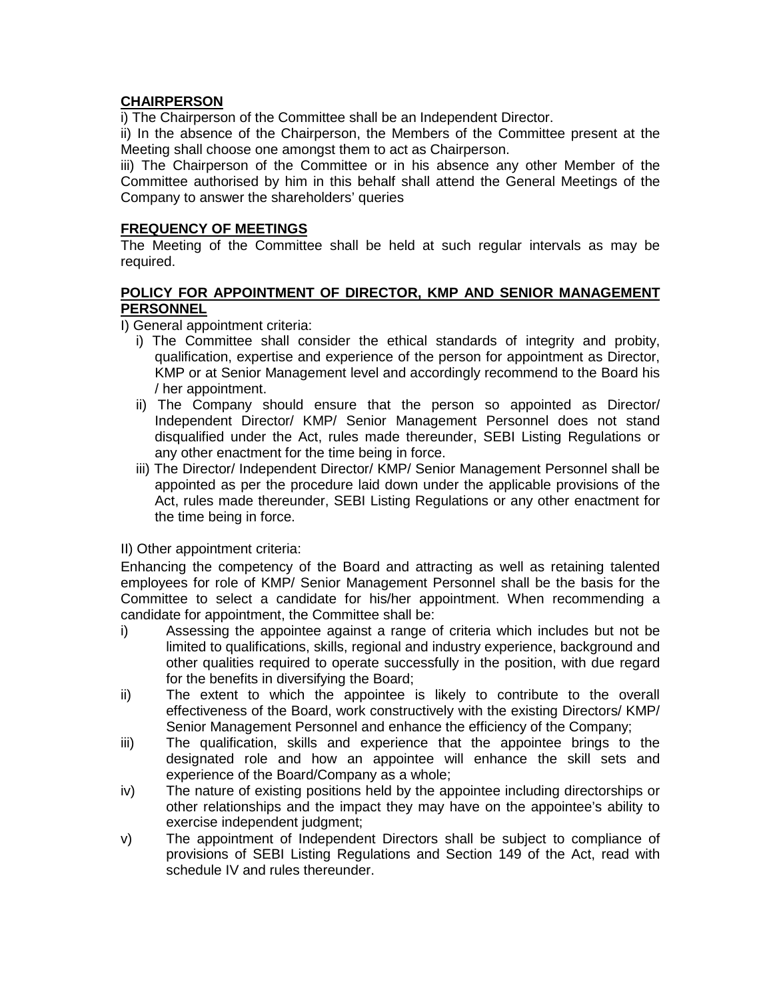## **CHAIRPERSON**

i) The Chairperson of the Committee shall be an Independent Director.

ii) In the absence of the Chairperson, the Members of the Committee present at the Meeting shall choose one amongst them to act as Chairperson.

iii) The Chairperson of the Committee or in his absence any other Member of the Committee authorised by him in this behalf shall attend the General Meetings of the Company to answer the shareholders' queries

#### **FREQUENCY OF MEETINGS**

The Meeting of the Committee shall be held at such regular intervals as may be required.

#### **POLICY FOR APPOINTMENT OF DIRECTOR, KMP AND SENIOR MANAGEMENT PERSONNEL**

I) General appointment criteria:

- i) The Committee shall consider the ethical standards of integrity and probity, qualification, expertise and experience of the person for appointment as Director, KMP or at Senior Management level and accordingly recommend to the Board his / her appointment.
- ii) The Company should ensure that the person so appointed as Director/ Independent Director/ KMP/ Senior Management Personnel does not stand disqualified under the Act, rules made thereunder, SEBI Listing Regulations or any other enactment for the time being in force.
- iii) The Director/ Independent Director/ KMP/ Senior Management Personnel shall be appointed as per the procedure laid down under the applicable provisions of the Act, rules made thereunder, SEBI Listing Regulations or any other enactment for the time being in force.

II) Other appointment criteria:

Enhancing the competency of the Board and attracting as well as retaining talented employees for role of KMP/ Senior Management Personnel shall be the basis for the Committee to select a candidate for his/her appointment. When recommending a candidate for appointment, the Committee shall be:

- i) Assessing the appointee against a range of criteria which includes but not be limited to qualifications, skills, regional and industry experience, background and other qualities required to operate successfully in the position, with due regard for the benefits in diversifying the Board;
- ii) The extent to which the appointee is likely to contribute to the overall effectiveness of the Board, work constructively with the existing Directors/ KMP/ Senior Management Personnel and enhance the efficiency of the Company;
- iii) The qualification, skills and experience that the appointee brings to the designated role and how an appointee will enhance the skill sets and experience of the Board/Company as a whole;
- iv) The nature of existing positions held by the appointee including directorships or other relationships and the impact they may have on the appointee's ability to exercise independent judgment;
- v) The appointment of Independent Directors shall be subject to compliance of provisions of SEBI Listing Regulations and Section 149 of the Act, read with schedule IV and rules thereunder.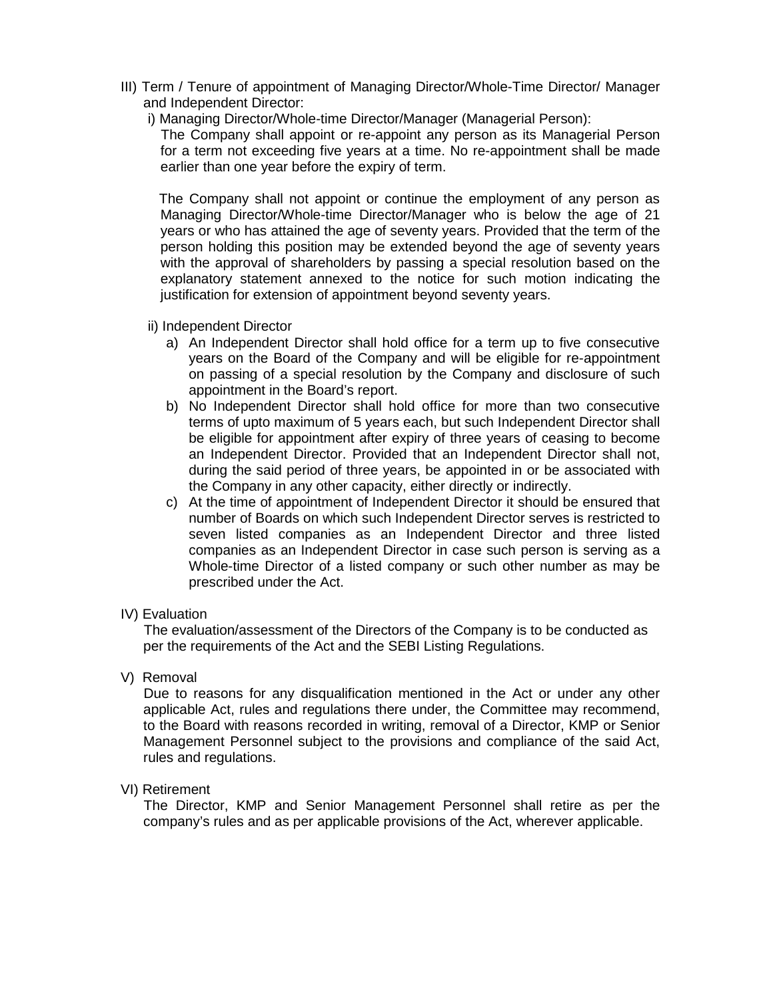- III) Term / Tenure of appointment of Managing Director/Whole-Time Director/ Manager and Independent Director:
	- i) Managing Director/Whole-time Director/Manager (Managerial Person):

 The Company shall appoint or re-appoint any person as its Managerial Person for a term not exceeding five years at a time. No re-appointment shall be made earlier than one year before the expiry of term.

 The Company shall not appoint or continue the employment of any person as Managing Director/Whole-time Director/Manager who is below the age of 21 years or who has attained the age of seventy years. Provided that the term of the person holding this position may be extended beyond the age of seventy years with the approval of shareholders by passing a special resolution based on the explanatory statement annexed to the notice for such motion indicating the justification for extension of appointment beyond seventy years.

- ii) Independent Director
	- a) An Independent Director shall hold office for a term up to five consecutive years on the Board of the Company and will be eligible for re-appointment on passing of a special resolution by the Company and disclosure of such appointment in the Board's report.
	- b) No Independent Director shall hold office for more than two consecutive terms of upto maximum of 5 years each, but such Independent Director shall be eligible for appointment after expiry of three years of ceasing to become an Independent Director. Provided that an Independent Director shall not, during the said period of three years, be appointed in or be associated with the Company in any other capacity, either directly or indirectly.
	- c) At the time of appointment of Independent Director it should be ensured that number of Boards on which such Independent Director serves is restricted to seven listed companies as an Independent Director and three listed companies as an Independent Director in case such person is serving as a Whole-time Director of a listed company or such other number as may be prescribed under the Act.

#### IV) Evaluation

 The evaluation/assessment of the Directors of the Company is to be conducted as per the requirements of the Act and the SEBI Listing Regulations.

V) Removal

 Due to reasons for any disqualification mentioned in the Act or under any other applicable Act, rules and regulations there under, the Committee may recommend, to the Board with reasons recorded in writing, removal of a Director, KMP or Senior Management Personnel subject to the provisions and compliance of the said Act, rules and regulations.

## VI) Retirement

 The Director, KMP and Senior Management Personnel shall retire as per the company's rules and as per applicable provisions of the Act, wherever applicable.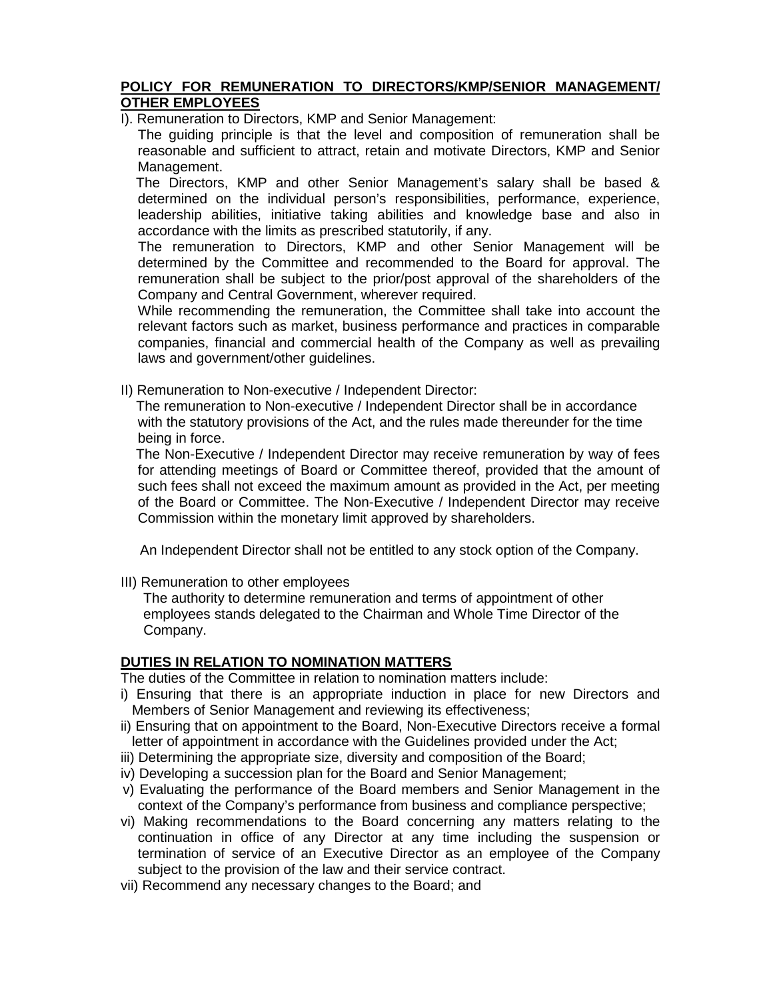#### **POLICY FOR REMUNERATION TO DIRECTORS/KMP/SENIOR MANAGEMENT/ OTHER EMPLOYEES**

I). Remuneration to Directors, KMP and Senior Management:

The guiding principle is that the level and composition of remuneration shall be reasonable and sufficient to attract, retain and motivate Directors, KMP and Senior Management.

 The Directors, KMP and other Senior Management's salary shall be based & determined on the individual person's responsibilities, performance, experience, leadership abilities, initiative taking abilities and knowledge base and also in accordance with the limits as prescribed statutorily, if any.

 The remuneration to Directors, KMP and other Senior Management will be determined by the Committee and recommended to the Board for approval. The remuneration shall be subject to the prior/post approval of the shareholders of the Company and Central Government, wherever required.

While recommending the remuneration, the Committee shall take into account the relevant factors such as market, business performance and practices in comparable companies, financial and commercial health of the Company as well as prevailing laws and government/other guidelines.

II) Remuneration to Non-executive / Independent Director:

 The remuneration to Non-executive / Independent Director shall be in accordance with the statutory provisions of the Act, and the rules made thereunder for the time being in force.

 The Non-Executive / Independent Director may receive remuneration by way of fees for attending meetings of Board or Committee thereof, provided that the amount of such fees shall not exceed the maximum amount as provided in the Act, per meeting of the Board or Committee. The Non-Executive / Independent Director may receive Commission within the monetary limit approved by shareholders.

An Independent Director shall not be entitled to any stock option of the Company.

III) Remuneration to other employees

The authority to determine remuneration and terms of appointment of other employees stands delegated to the Chairman and Whole Time Director of the Company.

# **DUTIES IN RELATION TO NOMINATION MATTERS**

The duties of the Committee in relation to nomination matters include:

- i) Ensuring that there is an appropriate induction in place for new Directors and Members of Senior Management and reviewing its effectiveness;
- ii) Ensuring that on appointment to the Board, Non-Executive Directors receive a formal letter of appointment in accordance with the Guidelines provided under the Act;
- iii) Determining the appropriate size, diversity and composition of the Board;
- iv) Developing a succession plan for the Board and Senior Management;
- v) Evaluating the performance of the Board members and Senior Management in the context of the Company's performance from business and compliance perspective;
- vi) Making recommendations to the Board concerning any matters relating to the continuation in office of any Director at any time including the suspension or termination of service of an Executive Director as an employee of the Company subject to the provision of the law and their service contract.
- vii) Recommend any necessary changes to the Board; and